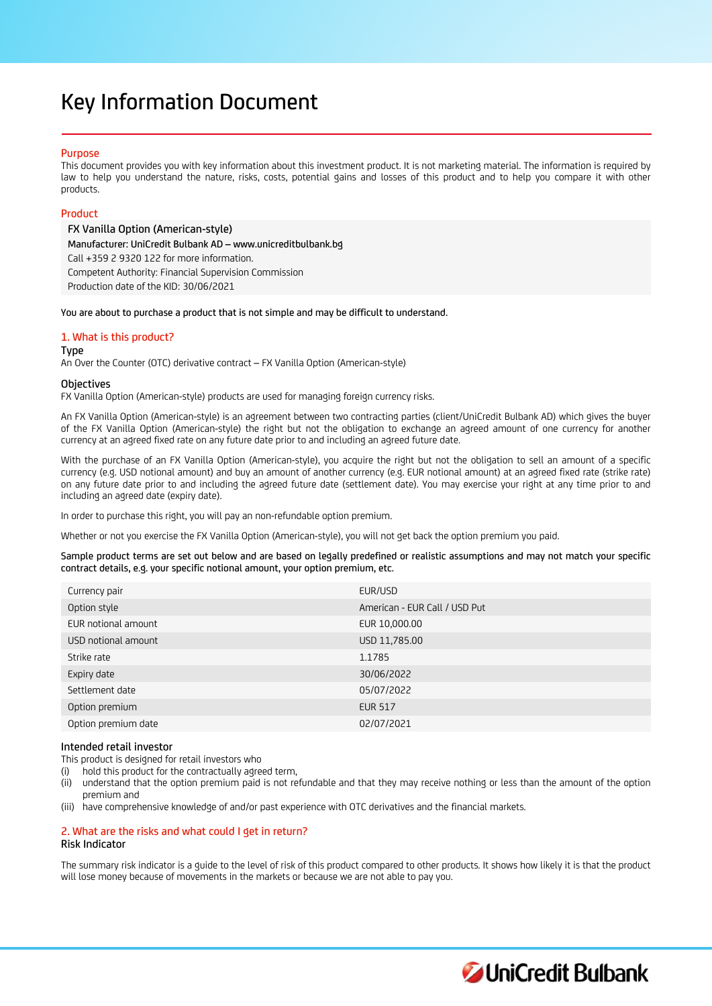# Key Information Document

# Purpose

This document provides you with key information about this investment product. It is not marketing material. The information is required by law to help you understand the nature, risks, costs, potential gains and losses of this product and to help you compare it with other products.

# Product

FX Vanilla Option (American-style) Manufacturer: UniCredit Bulbank AD – www.unicreditbulbank.bg Call +359 2 9320 122 for more information. Competent Authority: Financial Supervision Commission Production date of the KID: 30/06/2021

You are about to purchase a product that is not simple and may be difficult to understand.

# 1. What is this product?

Type

An Over the Counter (OTC) derivative contract – FX Vanilla Option (American-style)

## **Objectives**

FX Vanilla Option (American-style) products are used for managing foreign currency risks.

An FX Vanilla Option (American-style) is an agreement between two contracting parties (client/UniCredit Bulbank AD) which gives the buyer of the FX Vanilla Option (American-style) the right but not the obligation to exchange an agreed amount of one currency for another currency at an agreed fixed rate on any future date prior to and including an agreed future date.

With the purchase of an FX Vanilla Option (American-style), you acquire the right but not the obligation to sell an amount of a specific currency (e.g. USD notional amount) and buy an amount of another currency (e.g. EUR notional amount) at an agreed fixed rate (strike rate) on any future date prior to and including the agreed future date (settlement date). You may exercise your right at any time prior to and including an agreed date (expiry date).

In order to purchase this right, you will pay an non-refundable option premium.

Whether or not you exercise the FX Vanilla Option (American-style), you will not get back the option premium you paid.

Sample product terms are set out below and are based on legally predefined or realistic assumptions and may not match your specific contract details, e.g. your specific notional amount, your option premium, etc.

| Currency pair       | EUR/USD                       |
|---------------------|-------------------------------|
| Option style        | American - EUR Call / USD Put |
| EUR notional amount | EUR 10,000.00                 |
| USD notional amount | USD 11,785.00                 |
| Strike rate         | 1.1785                        |
| Expiry date         | 30/06/2022                    |
| Settlement date     | 05/07/2022                    |
| Option premium      | <b>EUR 517</b>                |
| Option premium date | 02/07/2021                    |

## Intended retail investor

This product is designed for retail investors who

(i) hold this product for the contractually agreed term,

(ii) understand that the option premium paid is not refundable and that they may receive nothing or less than the amount of the option premium and

(iii) have comprehensive knowledge of and/or past experience with OTC derivatives and the financial markets.

# 2. What are the risks and what could I get in return? Risk Indicator

The summary risk indicator is a guide to the level of risk of this product compared to other products. It shows how likely it is that the product will lose money because of movements in the markets or because we are not able to pay you.

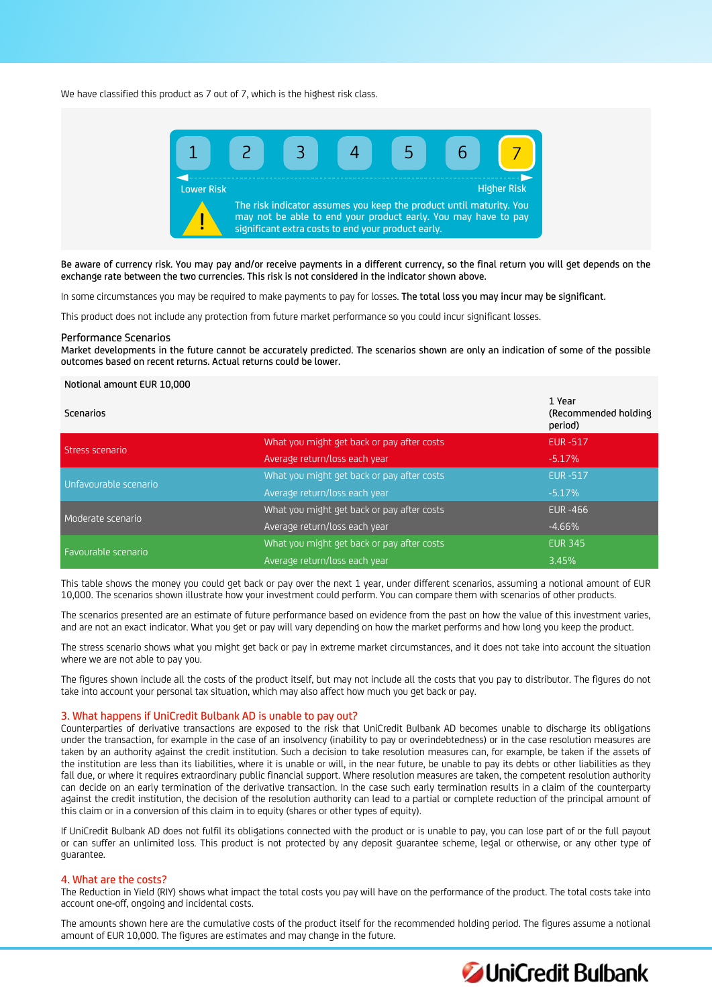We have classified this product as 7 out of 7, which is the highest risk class.



Be aware of currency risk. You may pay and/or receive payments in a different currency, so the final return you will get depends on the exchange rate between the two currencies. This risk is not considered in the indicator shown above.

In some circumstances you may be required to make payments to pay for losses. The total loss you may incur may be significant.

This product does not include any protection from future market performance so you could incur significant losses.

#### Performance Scenarios

Market developments in the future cannot be accurately predicted. The scenarios shown are only an indication of some of the possible outcomes based on recent returns. Actual returns could be lower.

# Notional amount EUR 10,000

| Scenarios             |                                            | 1 Year<br>(Recommended holding)<br>period) |
|-----------------------|--------------------------------------------|--------------------------------------------|
| Stress scenario       | What you might get back or pay after costs | <b>EUR-517</b>                             |
|                       | Average return/loss each year              | $-5.17\%$                                  |
| Unfavourable scenario | What you might get back or pay after costs | <b>EUR-517</b>                             |
|                       | Average return/loss each year              | $-5.17%$                                   |
| Moderate scenario     | What you might get back or pay after costs | <b>EUR-466</b>                             |
|                       | Average return/loss each year              | $-4.66%$                                   |
|                       | What you might get back or pay after costs | <b>EUR 345</b>                             |
| Favourable scenario   | Average return/loss each year              | 3.45%                                      |

This table shows the money you could get back or pay over the next 1 year, under different scenarios, assuming a notional amount of EUR 10,000. The scenarios shown illustrate how your investment could perform. You can compare them with scenarios of other products.

The scenarios presented are an estimate of future performance based on evidence from the past on how the value of this investment varies, and are not an exact indicator. What you get or pay will vary depending on how the market performs and how long you keep the product.

The stress scenario shows what you might get back or pay in extreme market circumstances, and it does not take into account the situation where we are not able to pay you.

The figures shown include all the costs of the product itself, but may not include all the costs that you pay to distributor. The figures do not take into account your personal tax situation, which may also affect how much you get back or pay.

# 3. What happens if UniCredit Bulbank AD is unable to pay out?

Counterparties of derivative transactions are exposed to the risk that UniCredit Bulbank AD becomes unable to discharge its obligations under the transaction, for example in the case of an insolvency (inability to pay or overindebtedness) or in the case resolution measures are taken by an authority against the credit institution. Such a decision to take resolution measures can, for example, be taken if the assets of the institution are less than its liabilities, where it is unable or will, in the near future, be unable to pay its debts or other liabilities as they fall due, or where it requires extraordinary public financial support. Where resolution measures are taken, the competent resolution authority can decide on an early termination of the derivative transaction. In the case such early termination results in a claim of the counterparty against the credit institution, the decision of the resolution authority can lead to a partial or complete reduction of the principal amount of this claim or in a conversion of this claim in to equity (shares or other types of equity).

If UniCredit Bulbank AD does not fulfil its obligations connected with the product or is unable to pay, you can lose part of or the full payout or can suffer an unlimited loss. This product is not protected by any deposit guarantee scheme, legal or otherwise, or any other type of guarantee.

## 4. What are the costs?

The Reduction in Yield (RIY) shows what impact the total costs you pay will have on the performance of the product. The total costs take into account one-off, ongoing and incidental costs.

The amounts shown here are the cumulative costs of the product itself for the recommended holding period. The figures assume a notional amount of EUR 10,000. The figures are estimates and may change in the future.